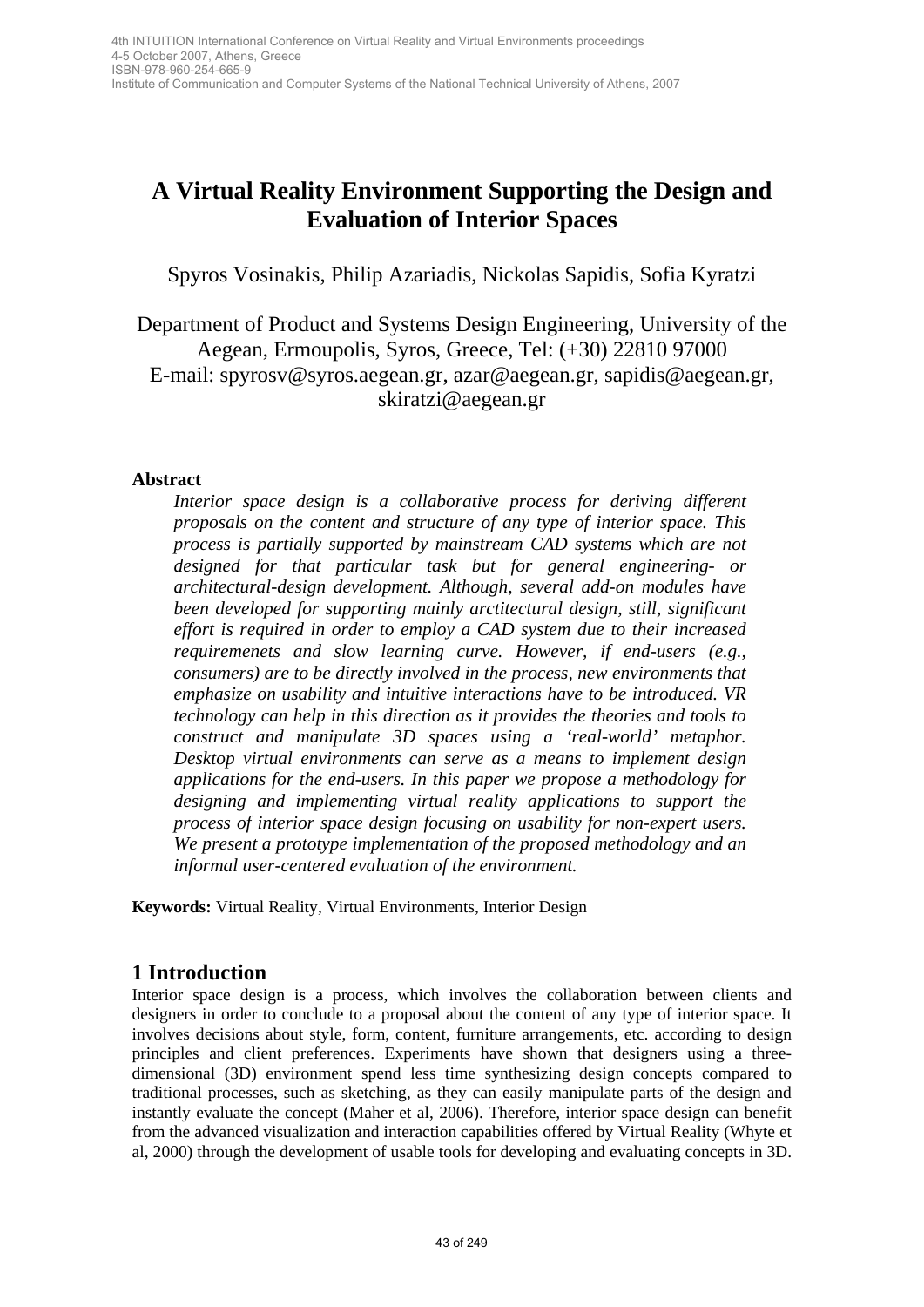Institute of Communication and Computer Systems of the National Technical University of Athens, 2007

# **A Virtual Reality Environment Supporting the Design and Evaluation of Interior Spaces**

Spyros Vosinakis, Philip Azariadis, Nickolas Sapidis, Sofia Kyratzi

Department of Product and Systems Design Engineering, University of the Aegean, Ermoupolis, Syros, Greece, Tel: (+30) 22810 97000 E-mail: spyrosv@syros.aegean.gr, azar@aegean.gr, sapidis@aegean.gr, skiratzi@aegean.gr

### **Abstract**

*Interior space design is a collaborative process for deriving different proposals on the content and structure of any type of interior space. This process is partially supported by mainstream CAD systems which are not designed for that particular task but for general engineering- or architectural-design development. Although, several add-on modules have been developed for supporting mainly arctitectural design, still, significant effort is required in order to employ a CAD system due to their increased requiremenets and slow learning curve. However, if end-users (e.g., consumers) are to be directly involved in the process, new environments that emphasize on usability and intuitive interactions have to be introduced. VR technology can help in this direction as it provides the theories and tools to construct and manipulate 3D spaces using a 'real-world' metaphor. Desktop virtual environments can serve as a means to implement design applications for the end-users. In this paper we propose a methodology for designing and implementing virtual reality applications to support the process of interior space design focusing on usability for non-expert users. We present a prototype implementation of the proposed methodology and an informal user-centered evaluation of the environment.*  43 of 249 4th INTUITION International Conference on Virtual Reality and Virtual Environments proceedings

**Keywords:** Virtual Reality, Virtual Environments, Interior Design

# **1 Introduction**

Interior space design is a process, which involves the collaboration between clients and designers in order to conclude to a proposal about the content of any type of interior space. It involves decisions about style, form, content, furniture arrangements, etc. according to design principles and client preferences. Experiments have shown that designers using a threedimensional (3D) environment spend less time synthesizing design concepts compared to traditional processes, such as sketching, as they can easily manipulate parts of the design and instantly evaluate the concept (Maher et al, 2006). Therefore, interior space design can benefit from the advanced visualization and interaction capabilities offered by Virtual Reality (Whyte et al, 2000) through the development of usable tools for developing and evaluating concepts in 3D.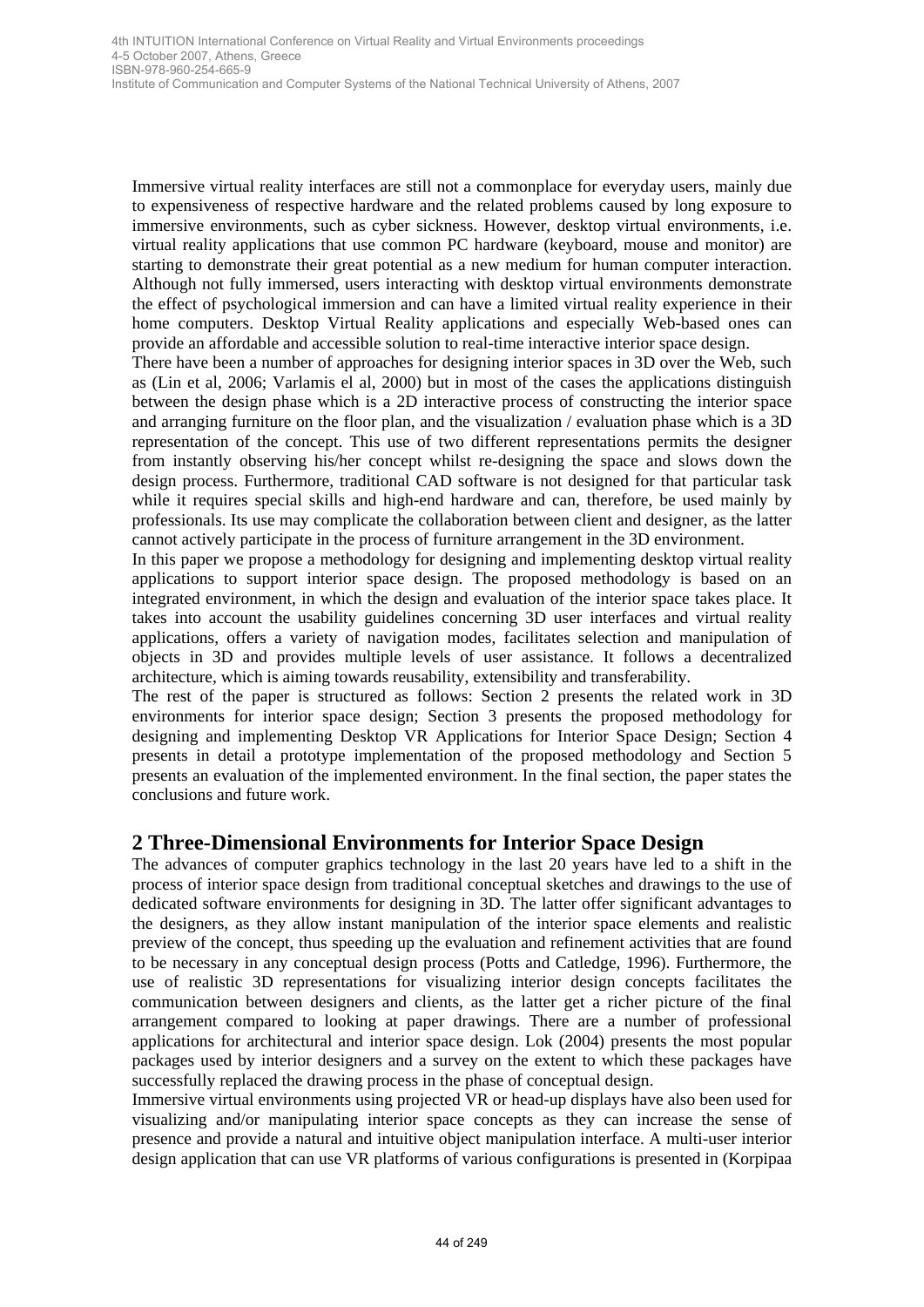Immersive virtual reality interfaces are still not a commonplace for everyday users, mainly due to expensiveness of respective hardware and the related problems caused by long exposure to immersive environments, such as cyber sickness. However, desktop virtual environments, i.e. virtual reality applications that use common PC hardware (keyboard, mouse and monitor) are starting to demonstrate their great potential as a new medium for human computer interaction. Although not fully immersed, users interacting with desktop virtual environments demonstrate the effect of psychological immersion and can have a limited virtual reality experience in their home computers. Desktop Virtual Reality applications and especially Web-based ones can provide an affordable and accessible solution to real-time interactive interior space design.

There have been a number of approaches for designing interior spaces in 3D over the Web, such as (Lin et al, 2006; Varlamis el al, 2000) but in most of the cases the applications distinguish between the design phase which is a 2D interactive process of constructing the interior space and arranging furniture on the floor plan, and the visualization / evaluation phase which is a 3D representation of the concept. This use of two different representations permits the designer from instantly observing his/her concept whilst re-designing the space and slows down the design process. Furthermore, traditional CAD software is not designed for that particular task while it requires special skills and high-end hardware and can, therefore, be used mainly by professionals. Its use may complicate the collaboration between client and designer, as the latter cannot actively participate in the process of furniture arrangement in the 3D environment.

In this paper we propose a methodology for designing and implementing desktop virtual reality applications to support interior space design. The proposed methodology is based on an integrated environment, in which the design and evaluation of the interior space takes place. It takes into account the usability guidelines concerning 3D user interfaces and virtual reality applications, offers a variety of navigation modes, facilitates selection and manipulation of objects in 3D and provides multiple levels of user assistance. It follows a decentralized architecture, which is aiming towards reusability, extensibility and transferability.

The rest of the paper is structured as follows: Section 2 presents the related work in 3D environments for interior space design; Section 3 presents the proposed methodology for designing and implementing Desktop VR Applications for Interior Space Design; Section 4 presents in detail a prototype implementation of the proposed methodology and Section 5 presents an evaluation of the implemented environment. In the final section, the paper states the conclusions and future work.

# **2 Three-Dimensional Environments for Interior Space Design**

The advances of computer graphics technology in the last 20 years have led to a shift in the process of interior space design from traditional conceptual sketches and drawings to the use of dedicated software environments for designing in 3D. The latter offer significant advantages to the designers, as they allow instant manipulation of the interior space elements and realistic preview of the concept, thus speeding up the evaluation and refinement activities that are found to be necessary in any conceptual design process (Potts and Catledge, 1996). Furthermore, the use of realistic 3D representations for visualizing interior design concepts facilitates the communication between designers and clients, as the latter get a richer picture of the final arrangement compared to looking at paper drawings. There are a number of professional applications for architectural and interior space design. Lok (2004) presents the most popular packages used by interior designers and a survey on the extent to which these packages have successfully replaced the drawing process in the phase of conceptual design. 46 MHTLE (249 of 249 Automatic Conference Conference on Virtual Reality and Virtual Reality and Wirth International Conference on Virtual Reality international Conference on Virtual Reality international Conference on Vir

Immersive virtual environments using projected VR or head-up displays have also been used for visualizing and/or manipulating interior space concepts as they can increase the sense of presence and provide a natural and intuitive object manipulation interface. A multi-user interior design application that can use VR platforms of various configurations is presented in (Korpipaa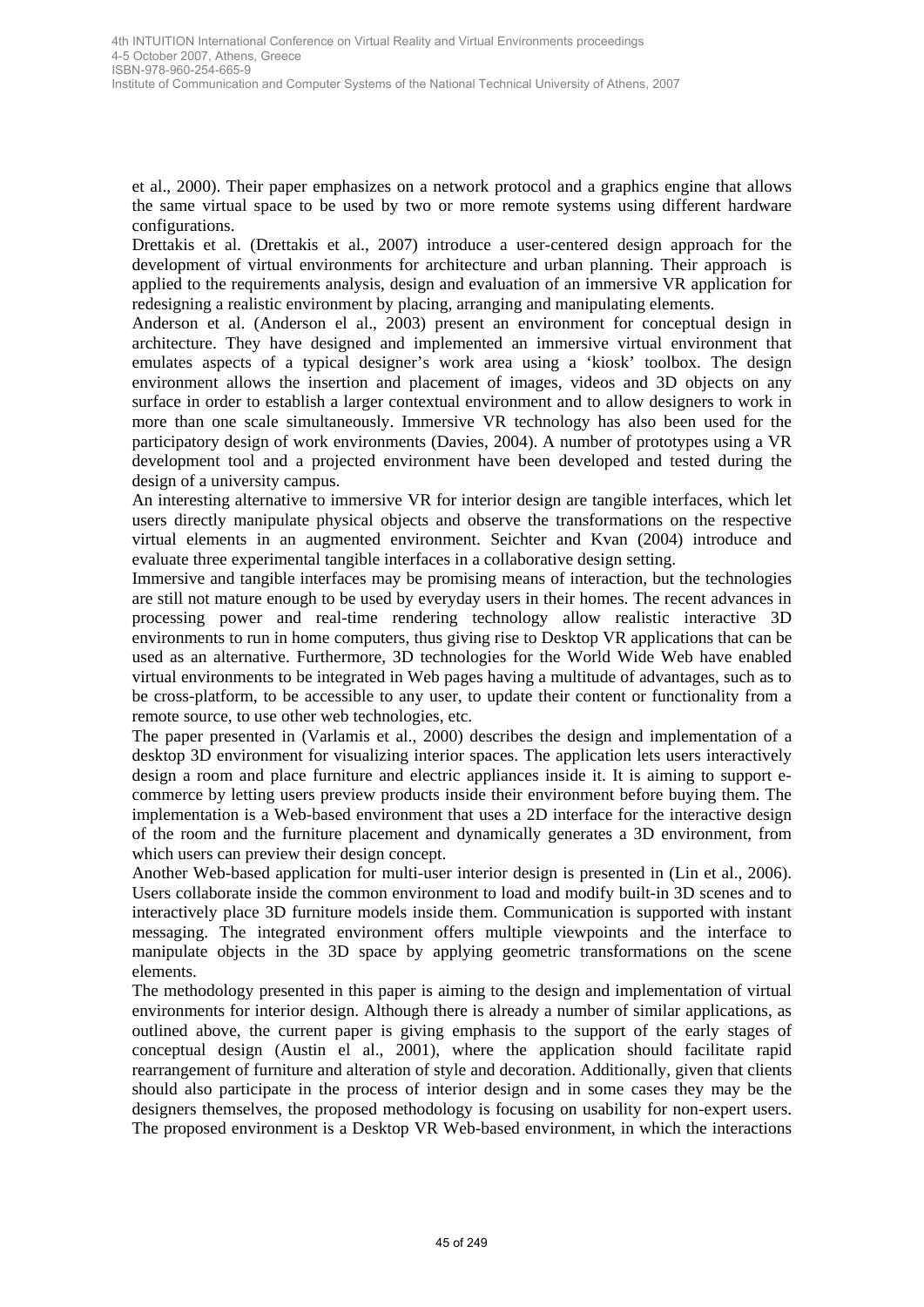Institute of Communication and Computer Systems of the National Technical University of Athens, 2007

et al., 2000). Their paper emphasizes on a network protocol and a graphics engine that allows the same virtual space to be used by two or more remote systems using different hardware configurations.

Drettakis et al. (Drettakis et al., 2007) introduce a user-centered design approach for the development of virtual environments for architecture and urban planning. Their approach is applied to the requirements analysis, design and evaluation of an immersive VR application for redesigning a realistic environment by placing, arranging and manipulating elements.

Anderson et al. (Anderson el al., 2003) present an environment for conceptual design in architecture. They have designed and implemented an immersive virtual environment that emulates aspects of a typical designer's work area using a 'kiosk' toolbox. The design environment allows the insertion and placement of images, videos and 3D objects on any surface in order to establish a larger contextual environment and to allow designers to work in more than one scale simultaneously. Immersive VR technology has also been used for the participatory design of work environments (Davies, 2004). A number of prototypes using a VR development tool and a projected environment have been developed and tested during the design of a university campus. 45 of 249 4th INTUITION International Conference on Virtual Reality and Virtual Environments proceedings

An interesting alternative to immersive VR for interior design are tangible interfaces, which let users directly manipulate physical objects and observe the transformations on the respective virtual elements in an augmented environment. Seichter and Kvan (2004) introduce and evaluate three experimental tangible interfaces in a collaborative design setting.

Immersive and tangible interfaces may be promising means of interaction, but the technologies are still not mature enough to be used by everyday users in their homes. The recent advances in processing power and real-time rendering technology allow realistic interactive 3D environments to run in home computers, thus giving rise to Desktop VR applications that can be used as an alternative. Furthermore, 3D technologies for the World Wide Web have enabled virtual environments to be integrated in Web pages having a multitude of advantages, such as to be cross-platform, to be accessible to any user, to update their content or functionality from a remote source, to use other web technologies, etc.

The paper presented in (Varlamis et al., 2000) describes the design and implementation of a desktop 3D environment for visualizing interior spaces. The application lets users interactively design a room and place furniture and electric appliances inside it. It is aiming to support ecommerce by letting users preview products inside their environment before buying them. The implementation is a Web-based environment that uses a 2D interface for the interactive design of the room and the furniture placement and dynamically generates a 3D environment, from which users can preview their design concept.

Another Web-based application for multi-user interior design is presented in (Lin et al., 2006). Users collaborate inside the common environment to load and modify built-in 3D scenes and to interactively place 3D furniture models inside them. Communication is supported with instant messaging. The integrated environment offers multiple viewpoints and the interface to manipulate objects in the 3D space by applying geometric transformations on the scene elements.

The methodology presented in this paper is aiming to the design and implementation of virtual environments for interior design. Although there is already a number of similar applications, as outlined above, the current paper is giving emphasis to the support of the early stages of conceptual design (Austin el al., 2001), where the application should facilitate rapid rearrangement of furniture and alteration of style and decoration. Additionally, given that clients should also participate in the process of interior design and in some cases they may be the designers themselves, the proposed methodology is focusing on usability for non-expert users. The proposed environment is a Desktop VR Web-based environment, in which the interactions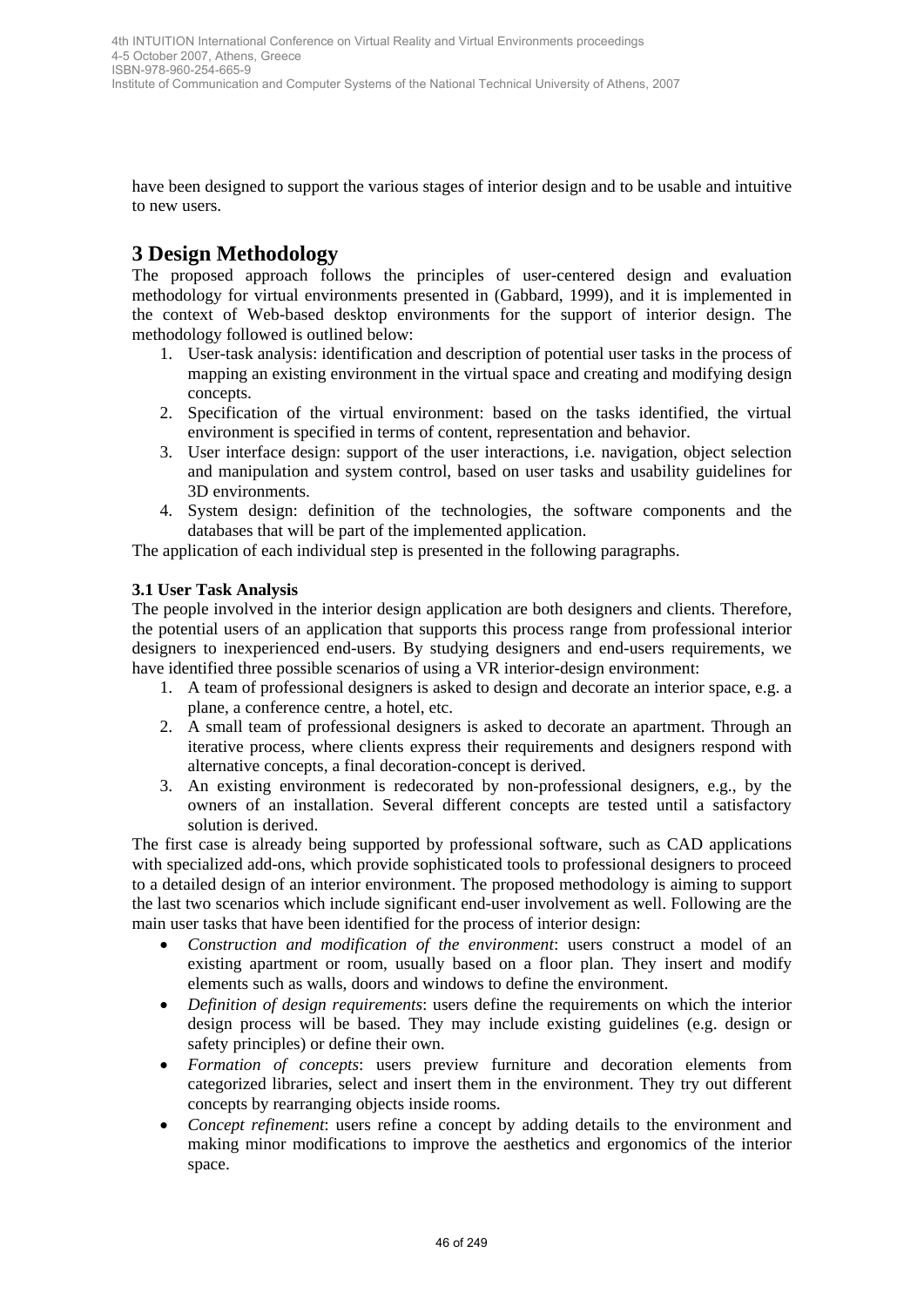have been designed to support the various stages of interior design and to be usable and intuitive to new users.

# **3 Design Methodology**

The proposed approach follows the principles of user-centered design and evaluation methodology for virtual environments presented in (Gabbard, 1999), and it is implemented in the context of Web-based desktop environments for the support of interior design. The methodology followed is outlined below:

- 1. User-task analysis: identification and description of potential user tasks in the process of mapping an existing environment in the virtual space and creating and modifying design concepts.
- 2. Specification of the virtual environment: based on the tasks identified, the virtual environment is specified in terms of content, representation and behavior.
- 3. User interface design: support of the user interactions, i.e. navigation, object selection and manipulation and system control, based on user tasks and usability guidelines for 3D environments.
- 4. System design: definition of the technologies, the software components and the databases that will be part of the implemented application.

The application of each individual step is presented in the following paragraphs.

### **3.1 User Task Analysis**

The people involved in the interior design application are both designers and clients. Therefore, the potential users of an application that supports this process range from professional interior designers to inexperienced end-users. By studying designers and end-users requirements, we have identified three possible scenarios of using a VR interior-design environment:

- 1. A team of professional designers is asked to design and decorate an interior space, e.g. a plane, a conference centre, a hotel, etc.
- 2. A small team of professional designers is asked to decorate an apartment. Through an iterative process, where clients express their requirements and designers respond with alternative concepts, a final decoration-concept is derived.
- 3. An existing environment is redecorated by non-professional designers, e.g., by the owners of an installation. Several different concepts are tested until a satisfactory solution is derived.

The first case is already being supported by professional software, such as CAD applications with specialized add-ons, which provide sophisticated tools to professional designers to proceed to a detailed design of an interior environment. The proposed methodology is aiming to support the last two scenarios which include significant end-user involvement as well. Following are the main user tasks that have been identified for the process of interior design: 46 MHTTLE the method of the technologies of the electric conference on Virtual Reality and Virtual Environments proceedings and the technology of Wirtual Conference on Congress of the Notices of the Columbus Systems of th

- *Construction and modification of the environment*: users construct a model of an existing apartment or room, usually based on a floor plan. They insert and modify elements such as walls, doors and windows to define the environment.
- *Definition of design requirements*: users define the requirements on which the interior design process will be based. They may include existing guidelines (e.g. design or safety principles) or define their own.
- *Formation of concepts*: users preview furniture and decoration elements from categorized libraries, select and insert them in the environment. They try out different concepts by rearranging objects inside rooms.
- *Concept refinement*: users refine a concept by adding details to the environment and making minor modifications to improve the aesthetics and ergonomics of the interior space.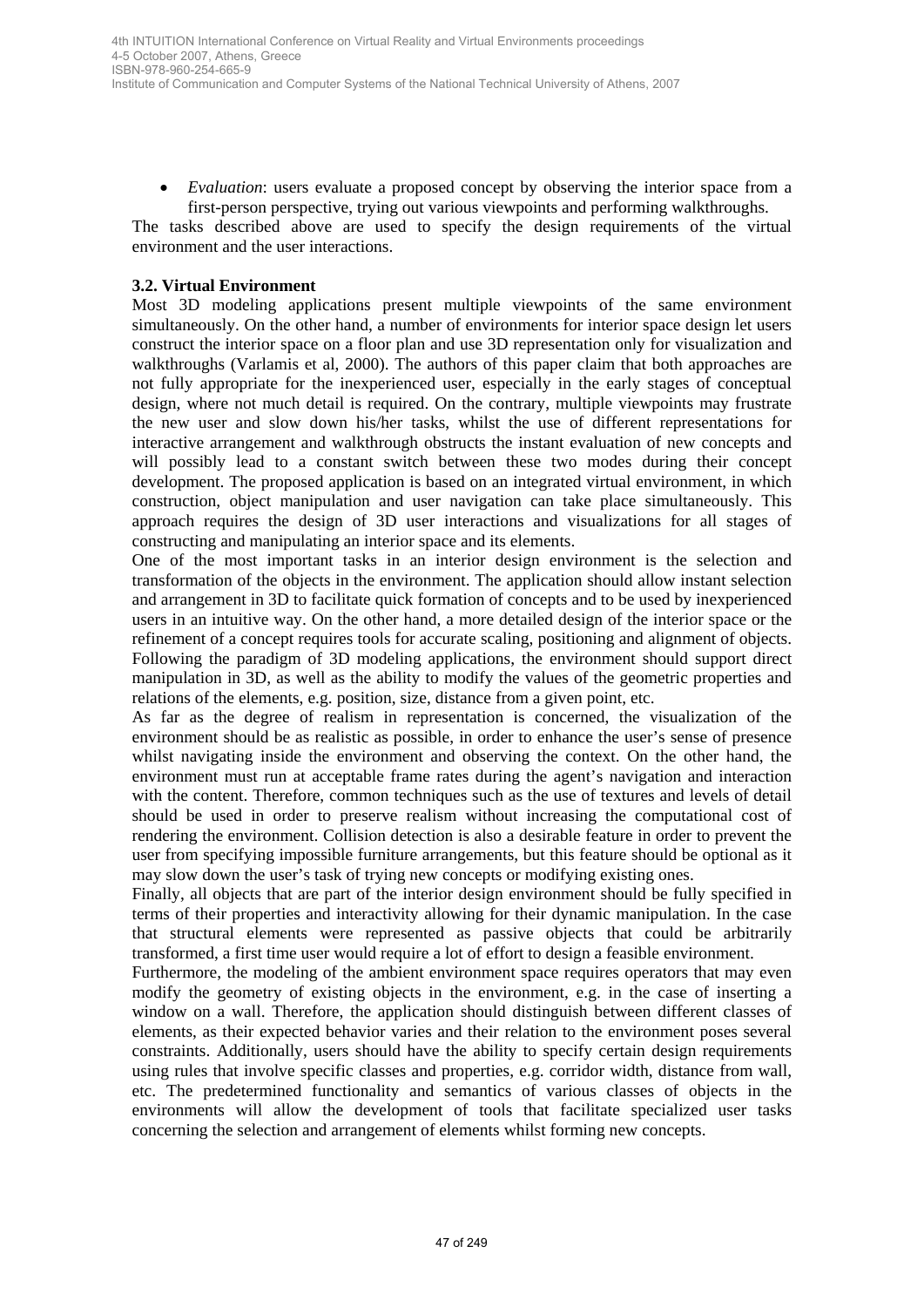• *Evaluation*: users evaluate a proposed concept by observing the interior space from a first-person perspective, trying out various viewpoints and performing walkthroughs.

The tasks described above are used to specify the design requirements of the virtual environment and the user interactions.

#### **3.2. Virtual Environment**

Most 3D modeling applications present multiple viewpoints of the same environment simultaneously. On the other hand, a number of environments for interior space design let users construct the interior space on a floor plan and use 3D representation only for visualization and walkthroughs (Varlamis et al, 2000). The authors of this paper claim that both approaches are not fully appropriate for the inexperienced user, especially in the early stages of conceptual design, where not much detail is required. On the contrary, multiple viewpoints may frustrate the new user and slow down his/her tasks, whilst the use of different representations for interactive arrangement and walkthrough obstructs the instant evaluation of new concepts and will possibly lead to a constant switch between these two modes during their concept development. The proposed application is based on an integrated virtual environment, in which construction, object manipulation and user navigation can take place simultaneously. This approach requires the design of 3D user interactions and visualizations for all stages of constructing and manipulating an interior space and its elements. 49 MHT (2003) tensor (conference on Virtual Reality and Virtual Section 10 MHT (2014) and NHT (2014) and NHT (2014) and NHT (2014) and NHT (2014) and NHT (2014) and NHT (2014) and NHT (2014) and NHT (2014) and NHT (2014)

One of the most important tasks in an interior design environment is the selection and transformation of the objects in the environment. The application should allow instant selection and arrangement in 3D to facilitate quick formation of concepts and to be used by inexperienced users in an intuitive way. On the other hand, a more detailed design of the interior space or the refinement of a concept requires tools for accurate scaling, positioning and alignment of objects. Following the paradigm of 3D modeling applications, the environment should support direct manipulation in 3D, as well as the ability to modify the values of the geometric properties and relations of the elements, e.g. position, size, distance from a given point, etc.

As far as the degree of realism in representation is concerned, the visualization of the environment should be as realistic as possible, in order to enhance the user's sense of presence whilst navigating inside the environment and observing the context. On the other hand, the environment must run at acceptable frame rates during the agent's navigation and interaction with the content. Therefore, common techniques such as the use of textures and levels of detail should be used in order to preserve realism without increasing the computational cost of rendering the environment. Collision detection is also a desirable feature in order to prevent the user from specifying impossible furniture arrangements, but this feature should be optional as it may slow down the user's task of trying new concepts or modifying existing ones.

Finally, all objects that are part of the interior design environment should be fully specified in terms of their properties and interactivity allowing for their dynamic manipulation. In the case that structural elements were represented as passive objects that could be arbitrarily transformed, a first time user would require a lot of effort to design a feasible environment.

Furthermore, the modeling of the ambient environment space requires operators that may even modify the geometry of existing objects in the environment, e.g. in the case of inserting a window on a wall. Therefore, the application should distinguish between different classes of elements, as their expected behavior varies and their relation to the environment poses several constraints. Additionally, users should have the ability to specify certain design requirements using rules that involve specific classes and properties, e.g. corridor width, distance from wall, etc. The predetermined functionality and semantics of various classes of objects in the environments will allow the development of tools that facilitate specialized user tasks concerning the selection and arrangement of elements whilst forming new concepts.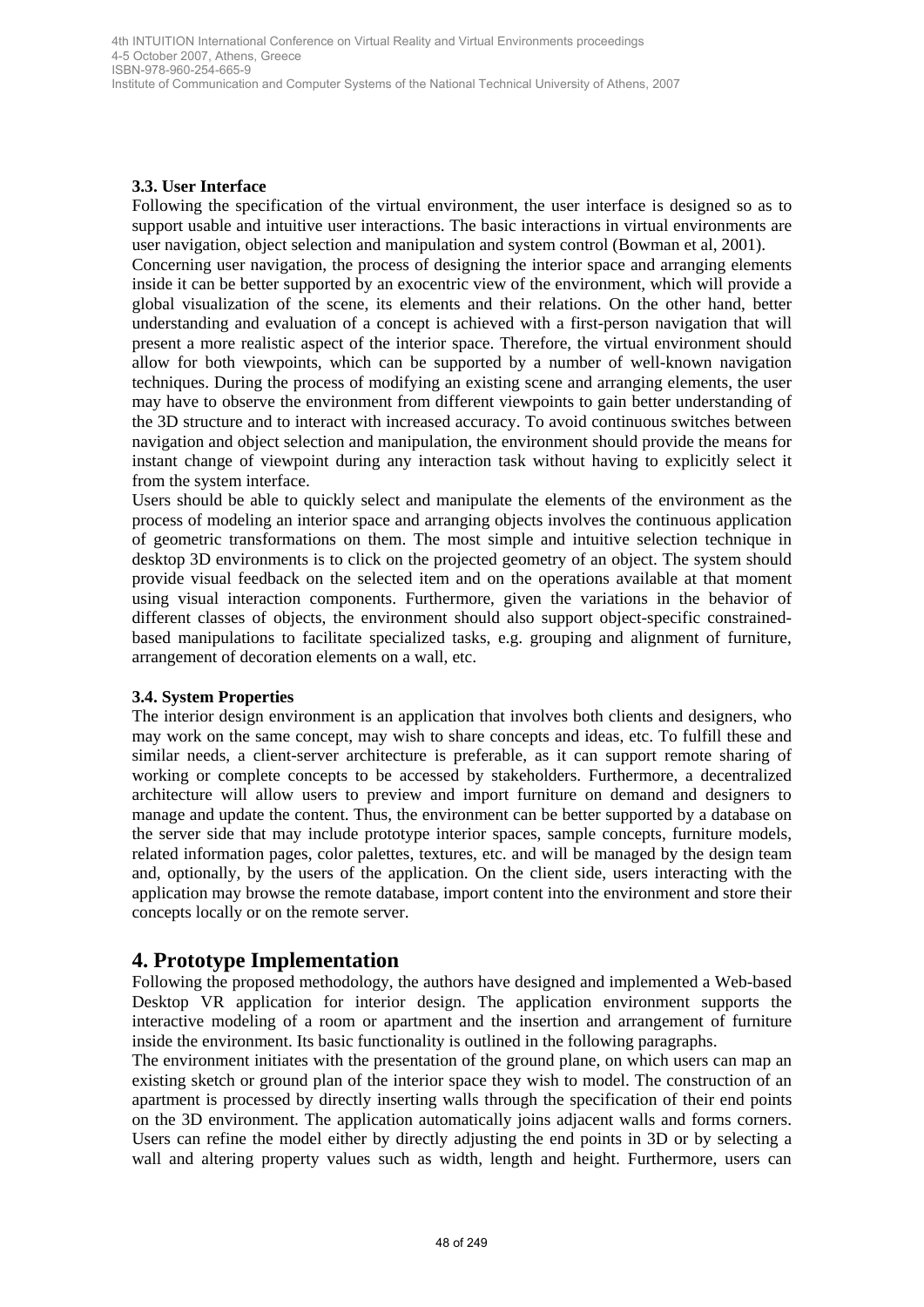Institute of Communication and Computer Systems of the National Technical University of Athens, 2007

#### **3.3. User Interface**

Following the specification of the virtual environment, the user interface is designed so as to support usable and intuitive user interactions. The basic interactions in virtual environments are user navigation, object selection and manipulation and system control (Bowman et al, 2001). Concerning user navigation, the process of designing the interior space and arranging elements inside it can be better supported by an exocentric view of the environment, which will provide a global visualization of the scene, its elements and their relations. On the other hand, better understanding and evaluation of a concept is achieved with a first-person navigation that will present a more realistic aspect of the interior space. Therefore, the virtual environment should allow for both viewpoints, which can be supported by a number of well-known navigation techniques. During the process of modifying an existing scene and arranging elements, the user may have to observe the environment from different viewpoints to gain better understanding of the 3D structure and to interact with increased accuracy. To avoid continuous switches between navigation and object selection and manipulation, the environment should provide the means for instant change of viewpoint during any interaction task without having to explicitly select it from the system interface. 48 bit Conference Conference Conference on Virtual Keality and Virtual Environmental processions and Nirtual Distribution is the Nirtual Reality and The Conference on Virtual Reality and Virtual Reality and Virtual Realit

Users should be able to quickly select and manipulate the elements of the environment as the process of modeling an interior space and arranging objects involves the continuous application of geometric transformations on them. The most simple and intuitive selection technique in desktop 3D environments is to click on the projected geometry of an object. The system should provide visual feedback on the selected item and on the operations available at that moment using visual interaction components. Furthermore, given the variations in the behavior of different classes of objects, the environment should also support object-specific constrainedbased manipulations to facilitate specialized tasks, e.g. grouping and alignment of furniture, arrangement of decoration elements on a wall, etc.

#### **3.4. System Properties**

The interior design environment is an application that involves both clients and designers, who may work on the same concept, may wish to share concepts and ideas, etc. To fulfill these and similar needs, a client-server architecture is preferable, as it can support remote sharing of working or complete concepts to be accessed by stakeholders. Furthermore, a decentralized architecture will allow users to preview and import furniture on demand and designers to manage and update the content. Thus, the environment can be better supported by a database on the server side that may include prototype interior spaces, sample concepts, furniture models, related information pages, color palettes, textures, etc. and will be managed by the design team and, optionally, by the users of the application. On the client side, users interacting with the application may browse the remote database, import content into the environment and store their concepts locally or on the remote server.

### **4. Prototype Implementation**

Following the proposed methodology, the authors have designed and implemented a Web-based Desktop VR application for interior design. The application environment supports the interactive modeling of a room or apartment and the insertion and arrangement of furniture inside the environment. Its basic functionality is outlined in the following paragraphs.

The environment initiates with the presentation of the ground plane, on which users can map an existing sketch or ground plan of the interior space they wish to model. The construction of an apartment is processed by directly inserting walls through the specification of their end points on the 3D environment. The application automatically joins adjacent walls and forms corners. Users can refine the model either by directly adjusting the end points in 3D or by selecting a wall and altering property values such as width, length and height. Furthermore, users can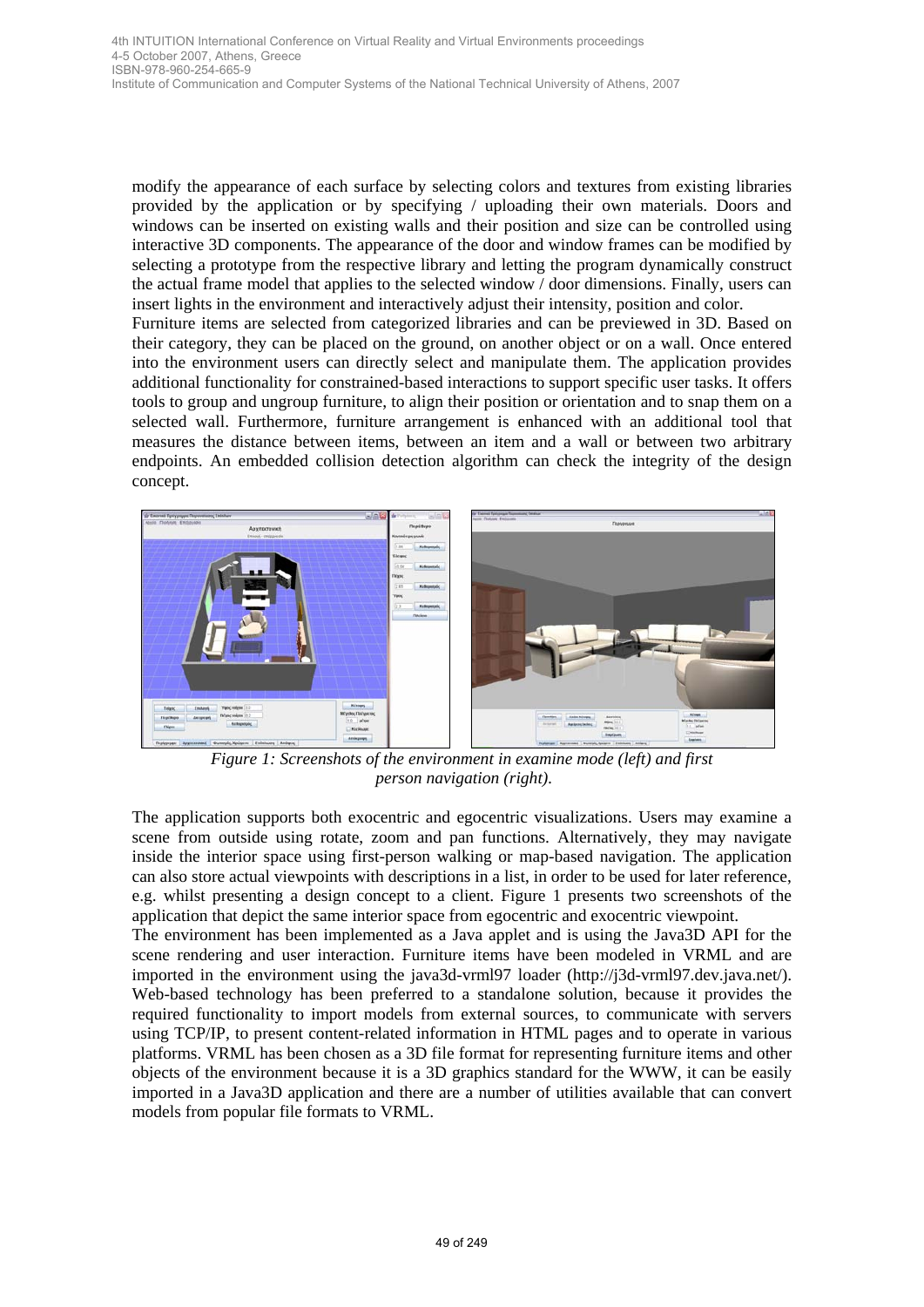4-5 October 2007, Athens, Greece ISBN-978-960-254-665-9 Institute of Communication and Computer Systems of the National Technical University of Athens, 2007

modify the appearance of each surface by selecting colors and textures from existing libraries provided by the application or by specifying / uploading their own materials. Doors and windows can be inserted on existing walls and their position and size can be controlled using interactive 3D components. The appearance of the door and window frames can be modified by selecting a prototype from the respective library and letting the program dynamically construct the actual frame model that applies to the selected window / door dimensions. Finally, users can insert lights in the environment and interactively adjust their intensity, position and color.

Furniture items are selected from categorized libraries and can be previewed in 3D. Based on their category, they can be placed on the ground, on another object or on a wall. Once entered into the environment users can directly select and manipulate them. The application provides additional functionality for constrained-based interactions to support specific user tasks. It offers tools to group and ungroup furniture, to align their position or orientation and to snap them on a selected wall. Furthermore, furniture arrangement is enhanced with an additional tool that measures the distance between items, between an item and a wall or between two arbitrary endpoints. An embedded collision detection algorithm can check the integrity of the design concept.



*Figure 1: Screenshots of the environment in examine mode (left) and first person navigation (right).*

The application supports both exocentric and egocentric visualizations. Users may examine a scene from outside using rotate, zoom and pan functions. Alternatively, they may navigate inside the interior space using first-person walking or map-based navigation. The application can also store actual viewpoints with descriptions in a list, in order to be used for later reference, e.g. whilst presenting a design concept to a client. Figure 1 presents two screenshots of the application that depict the same interior space from egocentric and exocentric viewpoint.

The environment has been implemented as a Java applet and is using the Java3D API for the scene rendering and user interaction. Furniture items have been modeled in VRML and are imported in the environment using the java3d-vrml97 loader (http://j3d-vrml97.dev.java.net/). Web-based technology has been preferred to a standalone solution, because it provides the required functionality to import models from external sources, to communicate with servers using TCP/IP, to present content-related information in HTML pages and to operate in various platforms. VRML has been chosen as a 3D file format for representing furniture items and other objects of the environment because it is a 3D graphics standard for the WWW, it can be easily imported in a Java3D application and there are a number of utilities available that can convert models from popular file formats to VRML.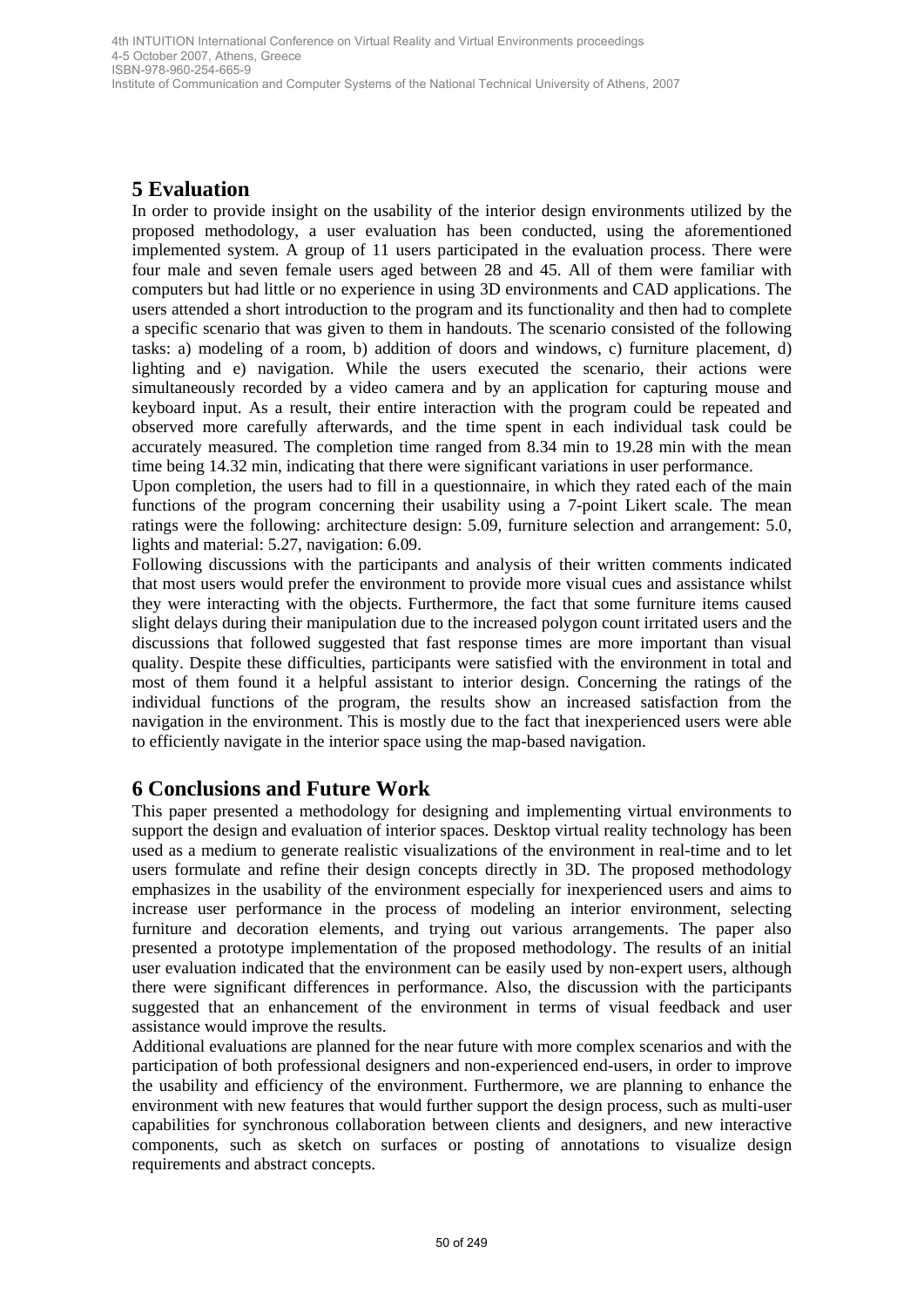Institute of Communication and Computer Systems of the National Technical University of Athens, 2007

# **5 Evaluation**

In order to provide insight on the usability of the interior design environments utilized by the proposed methodology, a user evaluation has been conducted, using the aforementioned implemented system. A group of 11 users participated in the evaluation process. There were four male and seven female users aged between 28 and 45. All of them were familiar with computers but had little or no experience in using 3D environments and CAD applications. The users attended a short introduction to the program and its functionality and then had to complete a specific scenario that was given to them in handouts. The scenario consisted of the following tasks: a) modeling of a room, b) addition of doors and windows, c) furniture placement, d) lighting and e) navigation. While the users executed the scenario, their actions were simultaneously recorded by a video camera and by an application for capturing mouse and keyboard input. As a result, their entire interaction with the program could be repeated and observed more carefully afterwards, and the time spent in each individual task could be accurately measured. The completion time ranged from 8.34 min to 19.28 min with the mean time being 14.32 min, indicating that there were significant variations in user performance. en Milli Conference Contents with the method in the method in the method of 149 at the method internal Conference on Virtual Reality of the interior design systems of the model conference on Virtual Reality of the interio

Upon completion, the users had to fill in a questionnaire, in which they rated each of the main functions of the program concerning their usability using a 7-point Likert scale. The mean ratings were the following: architecture design: 5.09, furniture selection and arrangement: 5.0, lights and material: 5.27, navigation: 6.09.

Following discussions with the participants and analysis of their written comments indicated that most users would prefer the environment to provide more visual cues and assistance whilst they were interacting with the objects. Furthermore, the fact that some furniture items caused slight delays during their manipulation due to the increased polygon count irritated users and the discussions that followed suggested that fast response times are more important than visual quality. Despite these difficulties, participants were satisfied with the environment in total and most of them found it a helpful assistant to interior design. Concerning the ratings of the individual functions of the program, the results show an increased satisfaction from the navigation in the environment. This is mostly due to the fact that inexperienced users were able to efficiently navigate in the interior space using the map-based navigation.

# **6 Conclusions and Future Work**

This paper presented a methodology for designing and implementing virtual environments to support the design and evaluation of interior spaces. Desktop virtual reality technology has been used as a medium to generate realistic visualizations of the environment in real-time and to let users formulate and refine their design concepts directly in 3D. The proposed methodology emphasizes in the usability of the environment especially for inexperienced users and aims to increase user performance in the process of modeling an interior environment, selecting furniture and decoration elements, and trying out various arrangements. The paper also presented a prototype implementation of the proposed methodology. The results of an initial user evaluation indicated that the environment can be easily used by non-expert users, although there were significant differences in performance. Also, the discussion with the participants suggested that an enhancement of the environment in terms of visual feedback and user assistance would improve the results.

Additional evaluations are planned for the near future with more complex scenarios and with the participation of both professional designers and non-experienced end-users, in order to improve the usability and efficiency of the environment. Furthermore, we are planning to enhance the environment with new features that would further support the design process, such as multi-user capabilities for synchronous collaboration between clients and designers, and new interactive components, such as sketch on surfaces or posting of annotations to visualize design requirements and abstract concepts.